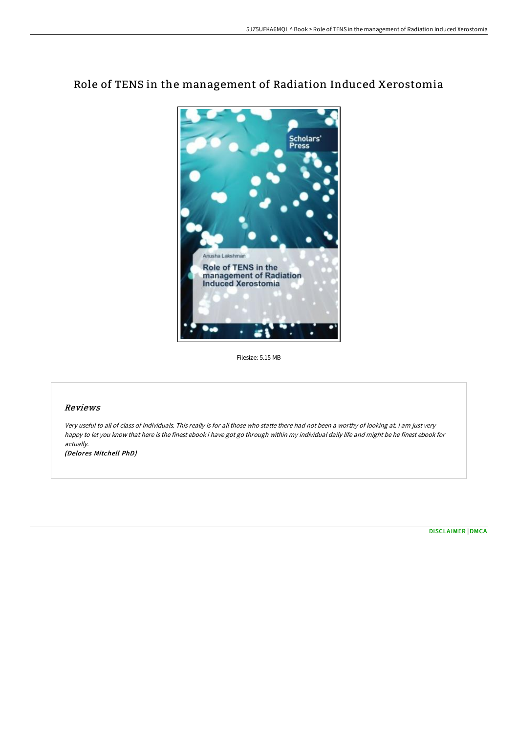

# Role of TENS in the management of Radiation Induced Xerostomia

Filesize: 5.15 MB

### Reviews

Very useful to all of class of individuals. This really is for all those who statte there had not been <sup>a</sup> worthy of looking at. <sup>I</sup> am just very happy to let you know that here is the finest ebook i have got go through within my individual daily life and might be he finest ebook for actually.

(Delores Mitchell PhD)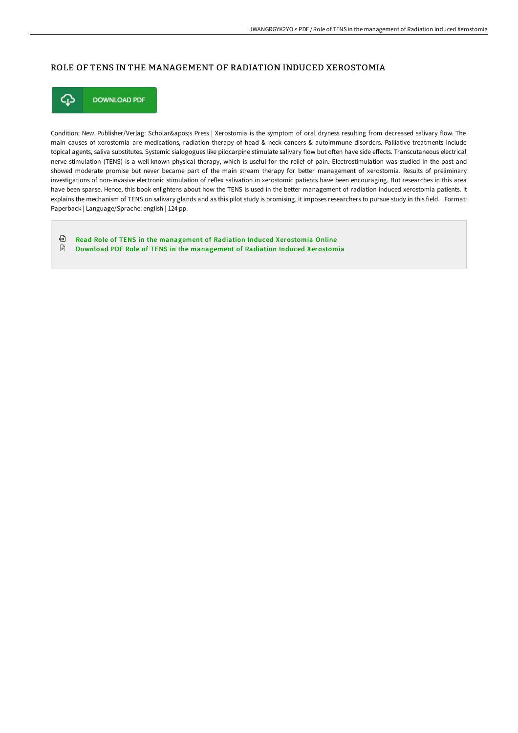## ROLE OF TENS IN THE MANAGEMENT OF RADIATION INDUCED XEROSTOMIA



Condition: New. Publisher/Verlag: Scholar's Press | Xerostomia is the symptom of oral dryness resulting from decreased salivary flow. The main causes of xerostomia are medications, radiation therapy of head & neck cancers & autoimmune disorders. Palliative treatments include topical agents, saliva substitutes. Systemic sialogogues like pilocarpine stimulate salivary flow but often have side effects. Transcutaneous electrical nerve stimulation (TENS) is a well-known physical therapy, which is useful for the relief of pain. Electrostimulation was studied in the past and showed moderate promise but never became part of the main stream therapy for better management of xerostomia. Results of preliminary investigations of non-invasive electronic stimulation of reflex salivation in xerostomic patients have been encouraging. But researches in this area have been sparse. Hence, this book enlightens about how the TENS is used in the better management of radiation induced xerostomia patients. It explains the mechanism of TENS on salivary glands and as this pilot study is promising, it imposes researchers to pursue study in this field. | Format: Paperback | Language/Sprache: english | 124 pp.

⊕ Read Role of TENS in the [management](http://techno-pub.tech/role-of-tens-in-the-management-of-radiation-indu.html) of Radiation Induced Xerostomia Online  $\mathbf{r}$ Download PDF Role of TENS in the [management](http://techno-pub.tech/role-of-tens-in-the-management-of-radiation-indu.html) of Radiation Induced Xerostomia